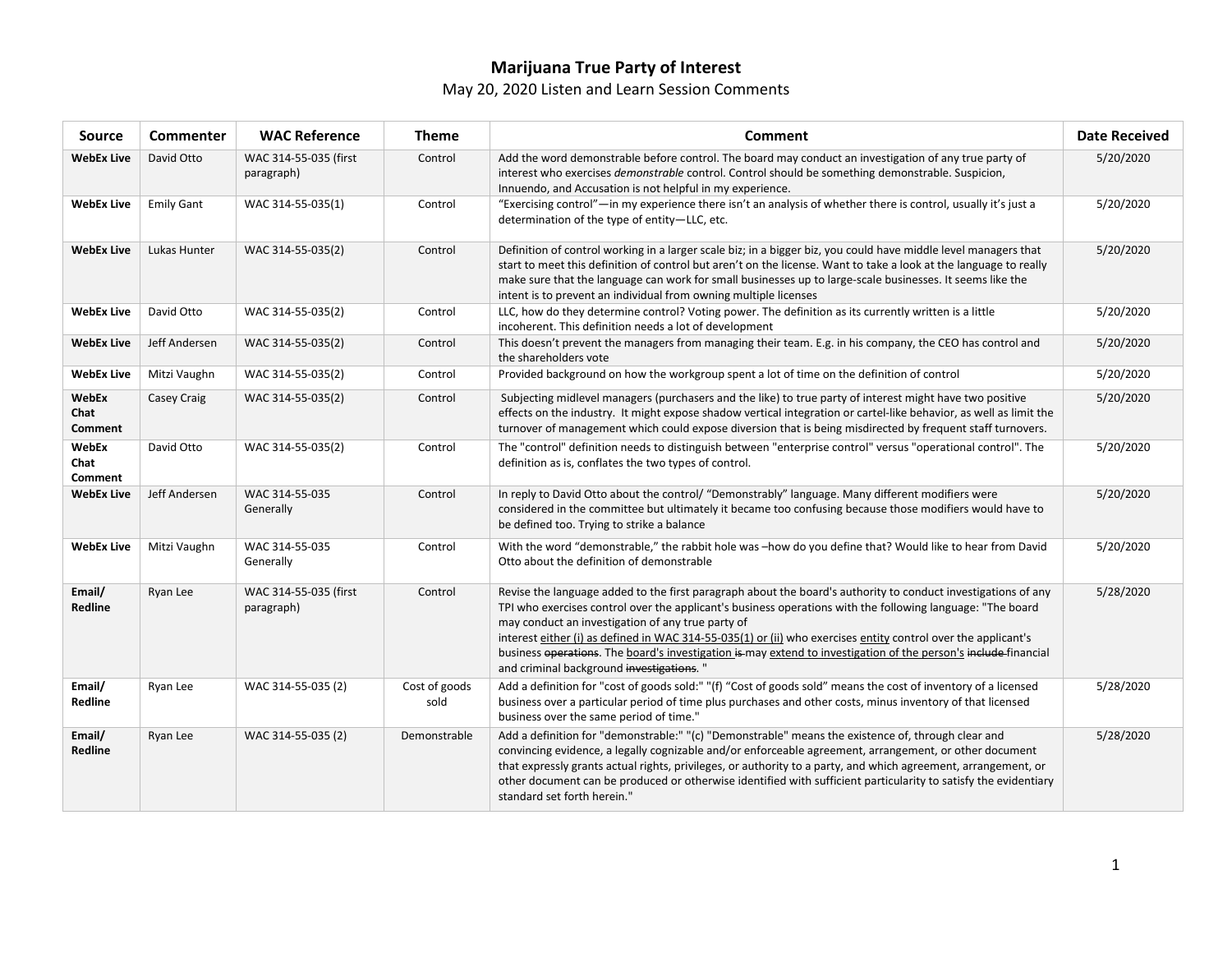# **Marijuana True Party of Interest**

## May 20, 2020 Listen and Learn Session Comments

| <b>Source</b>                   | <b>Commenter</b>  | <b>WAC Reference</b>                | <b>Theme</b>          | <b>Comment</b>                                                                                                                                                                                                                                                                                                                                                                                                                                                                                                                                                   | <b>Date Received</b> |
|---------------------------------|-------------------|-------------------------------------|-----------------------|------------------------------------------------------------------------------------------------------------------------------------------------------------------------------------------------------------------------------------------------------------------------------------------------------------------------------------------------------------------------------------------------------------------------------------------------------------------------------------------------------------------------------------------------------------------|----------------------|
| <b>WebEx Live</b>               | David Otto        | WAC 314-55-035 (first<br>paragraph) | Control               | Add the word demonstrable before control. The board may conduct an investigation of any true party of<br>interest who exercises <i>demonstrable</i> control. Control should be something demonstrable. Suspicion,<br>Innuendo, and Accusation is not helpful in my experience.                                                                                                                                                                                                                                                                                   | 5/20/2020            |
| <b>WebEx Live</b>               | <b>Emily Gant</b> | WAC 314-55-035(1)                   | Control               | "Exercising control"—in my experience there isn't an analysis of whether there is control, usually it's just a<br>determination of the type of entity-LLC, etc.                                                                                                                                                                                                                                                                                                                                                                                                  | 5/20/2020            |
| <b>WebEx Live</b>               | Lukas Hunter      | WAC 314-55-035(2)                   | Control               | Definition of control working in a larger scale biz; in a bigger biz, you could have middle level managers that<br>start to meet this definition of control but aren't on the license. Want to take a look at the language to really<br>make sure that the language can work for small businesses up to large-scale businesses. It seems like the<br>intent is to prevent an individual from owning multiple licenses                                                                                                                                            | 5/20/2020            |
| <b>WebEx Live</b>               | David Otto        | WAC 314-55-035(2)                   | Control               | LLC, how do they determine control? Voting power. The definition as its currently written is a little<br>incoherent. This definition needs a lot of development                                                                                                                                                                                                                                                                                                                                                                                                  | 5/20/2020            |
| <b>WebEx Live</b>               | Jeff Andersen     | WAC 314-55-035(2)                   | Control               | This doesn't prevent the managers from managing their team. E.g. in his company, the CEO has control and<br>the shareholders vote                                                                                                                                                                                                                                                                                                                                                                                                                                | 5/20/2020            |
| <b>WebEx Live</b>               | Mitzi Vaughn      | WAC 314-55-035(2)                   | Control               | Provided background on how the workgroup spent a lot of time on the definition of control                                                                                                                                                                                                                                                                                                                                                                                                                                                                        | 5/20/2020            |
| WebEx<br>Chat<br>Comment        | Casey Craig       | WAC 314-55-035(2)                   | Control               | Subjecting midlevel managers (purchasers and the like) to true party of interest might have two positive<br>effects on the industry. It might expose shadow vertical integration or cartel-like behavior, as well as limit the<br>turnover of management which could expose diversion that is being misdirected by frequent staff turnovers.                                                                                                                                                                                                                     | 5/20/2020            |
| WebEx<br>Chat<br><b>Comment</b> | David Otto        | WAC 314-55-035(2)                   | Control               | The "control" definition needs to distinguish between "enterprise control" versus "operational control". The<br>definition as is, conflates the two types of control.                                                                                                                                                                                                                                                                                                                                                                                            | 5/20/2020            |
| <b>WebEx Live</b>               | Jeff Andersen     | WAC 314-55-035<br>Generally         | Control               | In reply to David Otto about the control/ "Demonstrably" language. Many different modifiers were<br>considered in the committee but ultimately it became too confusing because those modifiers would have to<br>be defined too. Trying to strike a balance                                                                                                                                                                                                                                                                                                       | 5/20/2020            |
| <b>WebEx Live</b>               | Mitzi Vaughn      | WAC 314-55-035<br>Generally         | Control               | With the word "demonstrable," the rabbit hole was -how do you define that? Would like to hear from David<br>Otto about the definition of demonstrable                                                                                                                                                                                                                                                                                                                                                                                                            | 5/20/2020            |
| Email/<br>Redline               | Ryan Lee          | WAC 314-55-035 (first<br>paragraph) | Control               | Revise the language added to the first paragraph about the board's authority to conduct investigations of any<br>TPI who exercises control over the applicant's business operations with the following language: "The board<br>may conduct an investigation of any true party of<br>interest either (i) as defined in WAC 314-55-035(1) or (ii) who exercises entity control over the applicant's<br>business operations. The board's investigation is may extend to investigation of the person's include financial<br>and criminal background investigations." | 5/28/2020            |
| Email/<br>Redline               | Ryan Lee          | WAC 314-55-035 (2)                  | Cost of goods<br>sold | Add a definition for "cost of goods sold:" "(f) "Cost of goods sold" means the cost of inventory of a licensed<br>business over a particular period of time plus purchases and other costs, minus inventory of that licensed<br>business over the same period of time."                                                                                                                                                                                                                                                                                          | 5/28/2020            |
| Email/<br><b>Redline</b>        | Ryan Lee          | WAC 314-55-035 (2)                  | Demonstrable          | Add a definition for "demonstrable:" "(c) "Demonstrable" means the existence of, through clear and<br>convincing evidence, a legally cognizable and/or enforceable agreement, arrangement, or other document<br>that expressly grants actual rights, privileges, or authority to a party, and which agreement, arrangement, or<br>other document can be produced or otherwise identified with sufficient particularity to satisfy the evidentiary<br>standard set forth herein."                                                                                 | 5/28/2020            |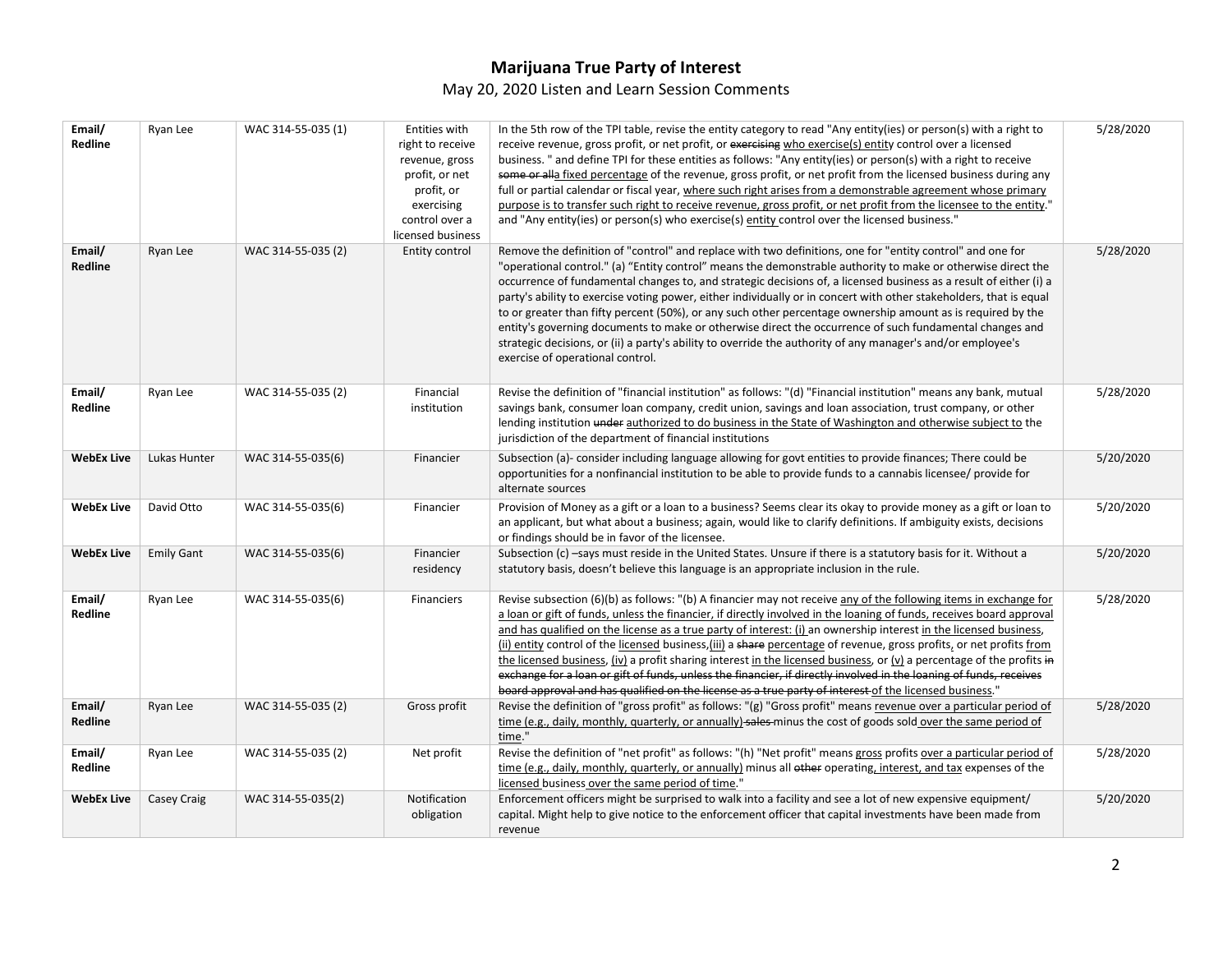## **Marijuana True Party of Interest**

## May 20, 2020 Listen and Learn Session Comments

| Email/<br><b>Redline</b> | Ryan Lee          | WAC 314-55-035 (1) | Entities with<br>right to receive<br>revenue, gross<br>profit, or net<br>profit, or<br>exercising<br>control over a<br>licensed business | In the 5th row of the TPI table, revise the entity category to read "Any entity(ies) or person(s) with a right to<br>receive revenue, gross profit, or net profit, or exercising who exercise(s) entity control over a licensed<br>business. " and define TPI for these entities as follows: "Any entity(ies) or person(s) with a right to receive<br>some or alla fixed percentage of the revenue, gross profit, or net profit from the licensed business during any<br>full or partial calendar or fiscal year, where such right arises from a demonstrable agreement whose primary<br>purpose is to transfer such right to receive revenue, gross profit, or net profit from the licensee to the entity."<br>and "Any entity(ies) or person(s) who exercise(s) entity control over the licensed business."                                     | 5/28/2020 |
|--------------------------|-------------------|--------------------|------------------------------------------------------------------------------------------------------------------------------------------|---------------------------------------------------------------------------------------------------------------------------------------------------------------------------------------------------------------------------------------------------------------------------------------------------------------------------------------------------------------------------------------------------------------------------------------------------------------------------------------------------------------------------------------------------------------------------------------------------------------------------------------------------------------------------------------------------------------------------------------------------------------------------------------------------------------------------------------------------|-----------|
| Email/<br>Redline        | Ryan Lee          | WAC 314-55-035 (2) | Entity control                                                                                                                           | Remove the definition of "control" and replace with two definitions, one for "entity control" and one for<br>"operational control." (a) "Entity control" means the demonstrable authority to make or otherwise direct the<br>occurrence of fundamental changes to, and strategic decisions of, a licensed business as a result of either (i) a<br>party's ability to exercise voting power, either individually or in concert with other stakeholders, that is equal<br>to or greater than fifty percent (50%), or any such other percentage ownership amount as is required by the<br>entity's governing documents to make or otherwise direct the occurrence of such fundamental changes and<br>strategic decisions, or (ii) a party's ability to override the authority of any manager's and/or employee's<br>exercise of operational control. | 5/28/2020 |
| Email/<br>Redline        | Ryan Lee          | WAC 314-55-035 (2) | Financial<br>institution                                                                                                                 | Revise the definition of "financial institution" as follows: "(d) "Financial institution" means any bank, mutual<br>savings bank, consumer loan company, credit union, savings and loan association, trust company, or other<br>lending institution under authorized to do business in the State of Washington and otherwise subject to the<br>jurisdiction of the department of financial institutions                                                                                                                                                                                                                                                                                                                                                                                                                                           | 5/28/2020 |
| <b>WebEx Live</b>        | Lukas Hunter      | WAC 314-55-035(6)  | Financier                                                                                                                                | Subsection (a)- consider including language allowing for govt entities to provide finances; There could be<br>opportunities for a nonfinancial institution to be able to provide funds to a cannabis licensee/ provide for<br>alternate sources                                                                                                                                                                                                                                                                                                                                                                                                                                                                                                                                                                                                   | 5/20/2020 |
| <b>WebEx Live</b>        | David Otto        | WAC 314-55-035(6)  | Financier                                                                                                                                | Provision of Money as a gift or a loan to a business? Seems clear its okay to provide money as a gift or loan to<br>an applicant, but what about a business; again, would like to clarify definitions. If ambiguity exists, decisions<br>or findings should be in favor of the licensee.                                                                                                                                                                                                                                                                                                                                                                                                                                                                                                                                                          | 5/20/2020 |
| <b>WebEx Live</b>        | <b>Emily Gant</b> | WAC 314-55-035(6)  | Financier<br>residency                                                                                                                   | Subsection (c) -says must reside in the United States. Unsure if there is a statutory basis for it. Without a<br>statutory basis, doesn't believe this language is an appropriate inclusion in the rule.                                                                                                                                                                                                                                                                                                                                                                                                                                                                                                                                                                                                                                          | 5/20/2020 |
| Email/<br>Redline        | Ryan Lee          | WAC 314-55-035(6)  | Financiers                                                                                                                               | Revise subsection (6)(b) as follows: "(b) A financier may not receive any of the following items in exchange for<br>a loan or gift of funds, unless the financier, if directly involved in the loaning of funds, receives board approval<br>and has qualified on the license as a true party of interest: (i) an ownership interest in the licensed business,<br>(ii) entity control of the licensed business, (iii) a share percentage of revenue, gross profits, or net profits from<br>the licensed business, (iv) a profit sharing interest in the licensed business, or (v) a percentage of the profits in<br>exchange for a loan or gift of funds, unless the financier, if directly involved in the loaning of funds, receives<br>board approval and has qualified on the license as a true party of interest of the licensed business."   | 5/28/2020 |
| Email/<br>Redline        | Ryan Lee          | WAC 314-55-035 (2) | Gross profit                                                                                                                             | Revise the definition of "gross profit" as follows: "(g) "Gross profit" means revenue over a particular period of<br>time (e.g., daily, monthly, quarterly, or annually)-sales-minus the cost of goods sold over the same period of<br>time."                                                                                                                                                                                                                                                                                                                                                                                                                                                                                                                                                                                                     | 5/28/2020 |
| Email/<br>Redline        | Ryan Lee          | WAC 314-55-035 (2) | Net profit                                                                                                                               | Revise the definition of "net profit" as follows: "(h) "Net profit" means gross profits over a particular period of<br>time (e.g., daily, monthly, quarterly, or annually) minus all other operating, interest, and tax expenses of the<br>licensed business over the same period of time."                                                                                                                                                                                                                                                                                                                                                                                                                                                                                                                                                       | 5/28/2020 |
| <b>WebEx Live</b>        | Casey Craig       | WAC 314-55-035(2)  | Notification<br>obligation                                                                                                               | Enforcement officers might be surprised to walk into a facility and see a lot of new expensive equipment/<br>capital. Might help to give notice to the enforcement officer that capital investments have been made from<br>revenue                                                                                                                                                                                                                                                                                                                                                                                                                                                                                                                                                                                                                | 5/20/2020 |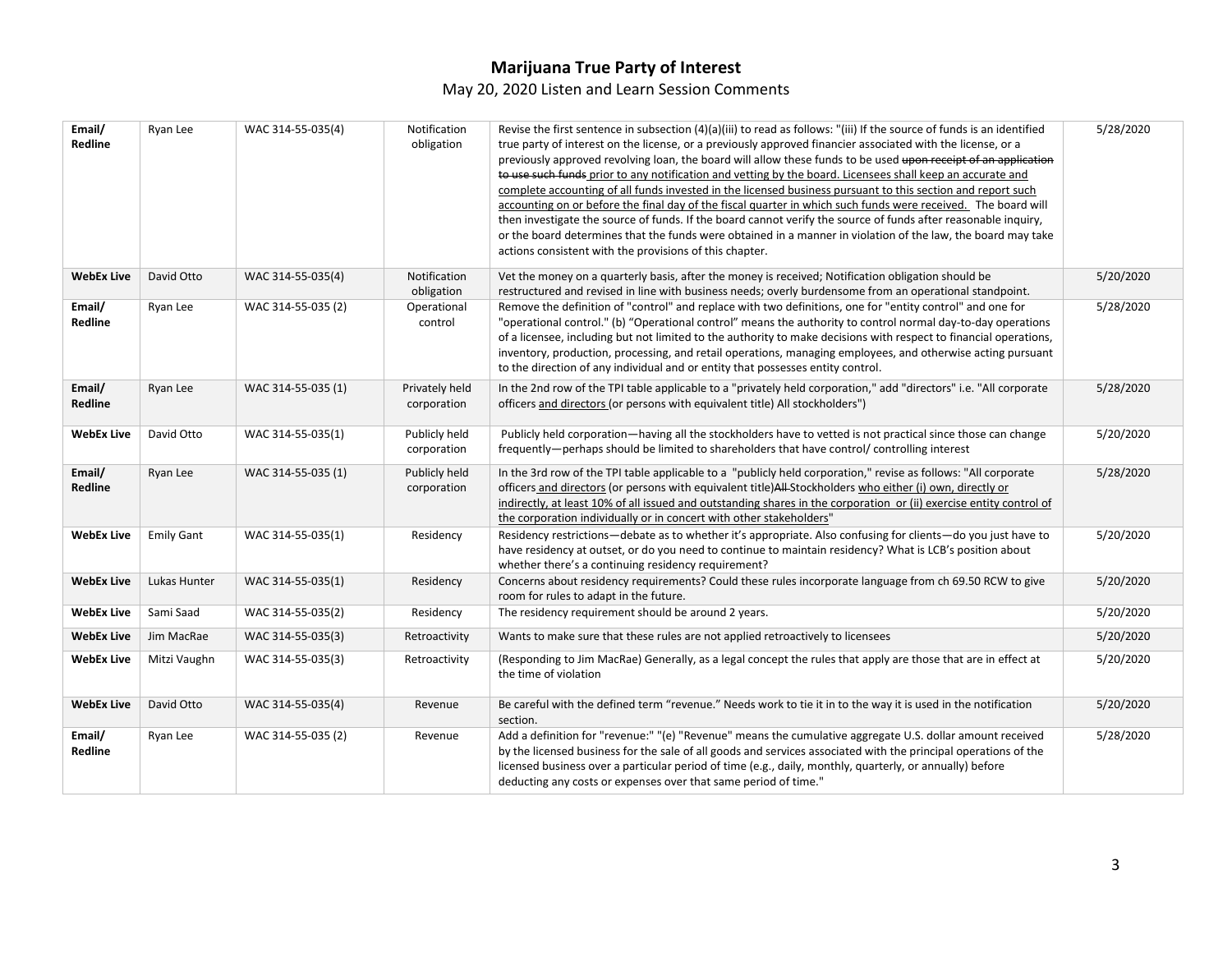### **Marijuana True Party of Interest**  May 20, 2020 Listen and Learn Session Comments

| Email/<br>Redline | Ryan Lee          | WAC 314-55-035(4)  | Notification<br>obligation    | Revise the first sentence in subsection $(4)(a)(iii)$ to read as follows: "(iii) If the source of funds is an identified<br>true party of interest on the license, or a previously approved financier associated with the license, or a<br>previously approved revolving loan, the board will allow these funds to be used upon receipt of an application<br>to use such funds prior to any notification and vetting by the board. Licensees shall keep an accurate and<br>complete accounting of all funds invested in the licensed business pursuant to this section and report such<br>accounting on or before the final day of the fiscal quarter in which such funds were received. The board will<br>then investigate the source of funds. If the board cannot verify the source of funds after reasonable inquiry,<br>or the board determines that the funds were obtained in a manner in violation of the law, the board may take<br>actions consistent with the provisions of this chapter. | 5/28/2020 |
|-------------------|-------------------|--------------------|-------------------------------|------------------------------------------------------------------------------------------------------------------------------------------------------------------------------------------------------------------------------------------------------------------------------------------------------------------------------------------------------------------------------------------------------------------------------------------------------------------------------------------------------------------------------------------------------------------------------------------------------------------------------------------------------------------------------------------------------------------------------------------------------------------------------------------------------------------------------------------------------------------------------------------------------------------------------------------------------------------------------------------------------|-----------|
| <b>WebEx Live</b> | David Otto        | WAC 314-55-035(4)  | Notification<br>obligation    | Vet the money on a quarterly basis, after the money is received; Notification obligation should be<br>restructured and revised in line with business needs; overly burdensome from an operational standpoint.                                                                                                                                                                                                                                                                                                                                                                                                                                                                                                                                                                                                                                                                                                                                                                                        | 5/20/2020 |
| Email/<br>Redline | Ryan Lee          | WAC 314-55-035 (2) | Operational<br>control        | Remove the definition of "control" and replace with two definitions, one for "entity control" and one for<br>"operational control." (b) "Operational control" means the authority to control normal day-to-day operations<br>of a licensee, including but not limited to the authority to make decisions with respect to financial operations,<br>inventory, production, processing, and retail operations, managing employees, and otherwise acting pursuant<br>to the direction of any individual and or entity that possesses entity control.                                                                                                                                                                                                                                                                                                                                                                                                                                                     | 5/28/2020 |
| Email/<br>Redline | Ryan Lee          | WAC 314-55-035 (1) | Privately held<br>corporation | In the 2nd row of the TPI table applicable to a "privately held corporation," add "directors" i.e. "All corporate<br>officers and directors (or persons with equivalent title) All stockholders")                                                                                                                                                                                                                                                                                                                                                                                                                                                                                                                                                                                                                                                                                                                                                                                                    | 5/28/2020 |
| <b>WebEx Live</b> | David Otto        | WAC 314-55-035(1)  | Publicly held<br>corporation  | Publicly held corporation—having all the stockholders have to vetted is not practical since those can change<br>frequently—perhaps should be limited to shareholders that have control/ controlling interest                                                                                                                                                                                                                                                                                                                                                                                                                                                                                                                                                                                                                                                                                                                                                                                         | 5/20/2020 |
| Email/<br>Redline | Ryan Lee          | WAC 314-55-035 (1) | Publicly held<br>corporation  | In the 3rd row of the TPI table applicable to a "publicly held corporation," revise as follows: "All corporate<br>officers and directors (or persons with equivalent title)All-Stockholders who either (i) own, directly or<br>indirectly, at least 10% of all issued and outstanding shares in the corporation or (ii) exercise entity control of<br>the corporation individually or in concert with other stakeholders"                                                                                                                                                                                                                                                                                                                                                                                                                                                                                                                                                                            | 5/28/2020 |
| <b>WebEx Live</b> | <b>Emily Gant</b> | WAC 314-55-035(1)  | Residency                     | Residency restrictions-debate as to whether it's appropriate. Also confusing for clients-do you just have to<br>have residency at outset, or do you need to continue to maintain residency? What is LCB's position about<br>whether there's a continuing residency requirement?                                                                                                                                                                                                                                                                                                                                                                                                                                                                                                                                                                                                                                                                                                                      | 5/20/2020 |
| <b>WebEx Live</b> | Lukas Hunter      | WAC 314-55-035(1)  | Residency                     | Concerns about residency requirements? Could these rules incorporate language from ch 69.50 RCW to give<br>room for rules to adapt in the future.                                                                                                                                                                                                                                                                                                                                                                                                                                                                                                                                                                                                                                                                                                                                                                                                                                                    | 5/20/2020 |
| <b>WebEx Live</b> | Sami Saad         | WAC 314-55-035(2)  | Residency                     | The residency requirement should be around 2 years.                                                                                                                                                                                                                                                                                                                                                                                                                                                                                                                                                                                                                                                                                                                                                                                                                                                                                                                                                  | 5/20/2020 |
| <b>WebEx Live</b> | Jim MacRae        | WAC 314-55-035(3)  | Retroactivity                 | Wants to make sure that these rules are not applied retroactively to licensees                                                                                                                                                                                                                                                                                                                                                                                                                                                                                                                                                                                                                                                                                                                                                                                                                                                                                                                       | 5/20/2020 |
| <b>WebEx Live</b> | Mitzi Vaughn      | WAC 314-55-035(3)  | Retroactivity                 | (Responding to Jim MacRae) Generally, as a legal concept the rules that apply are those that are in effect at<br>the time of violation                                                                                                                                                                                                                                                                                                                                                                                                                                                                                                                                                                                                                                                                                                                                                                                                                                                               | 5/20/2020 |
| <b>WebEx Live</b> | David Otto        | WAC 314-55-035(4)  | Revenue                       | Be careful with the defined term "revenue." Needs work to tie it in to the way it is used in the notification<br>section.                                                                                                                                                                                                                                                                                                                                                                                                                                                                                                                                                                                                                                                                                                                                                                                                                                                                            | 5/20/2020 |
| Email/<br>Redline | Ryan Lee          | WAC 314-55-035 (2) | Revenue                       | Add a definition for "revenue:" "(e) "Revenue" means the cumulative aggregate U.S. dollar amount received<br>by the licensed business for the sale of all goods and services associated with the principal operations of the<br>licensed business over a particular period of time (e.g., daily, monthly, quarterly, or annually) before<br>deducting any costs or expenses over that same period of time."                                                                                                                                                                                                                                                                                                                                                                                                                                                                                                                                                                                          | 5/28/2020 |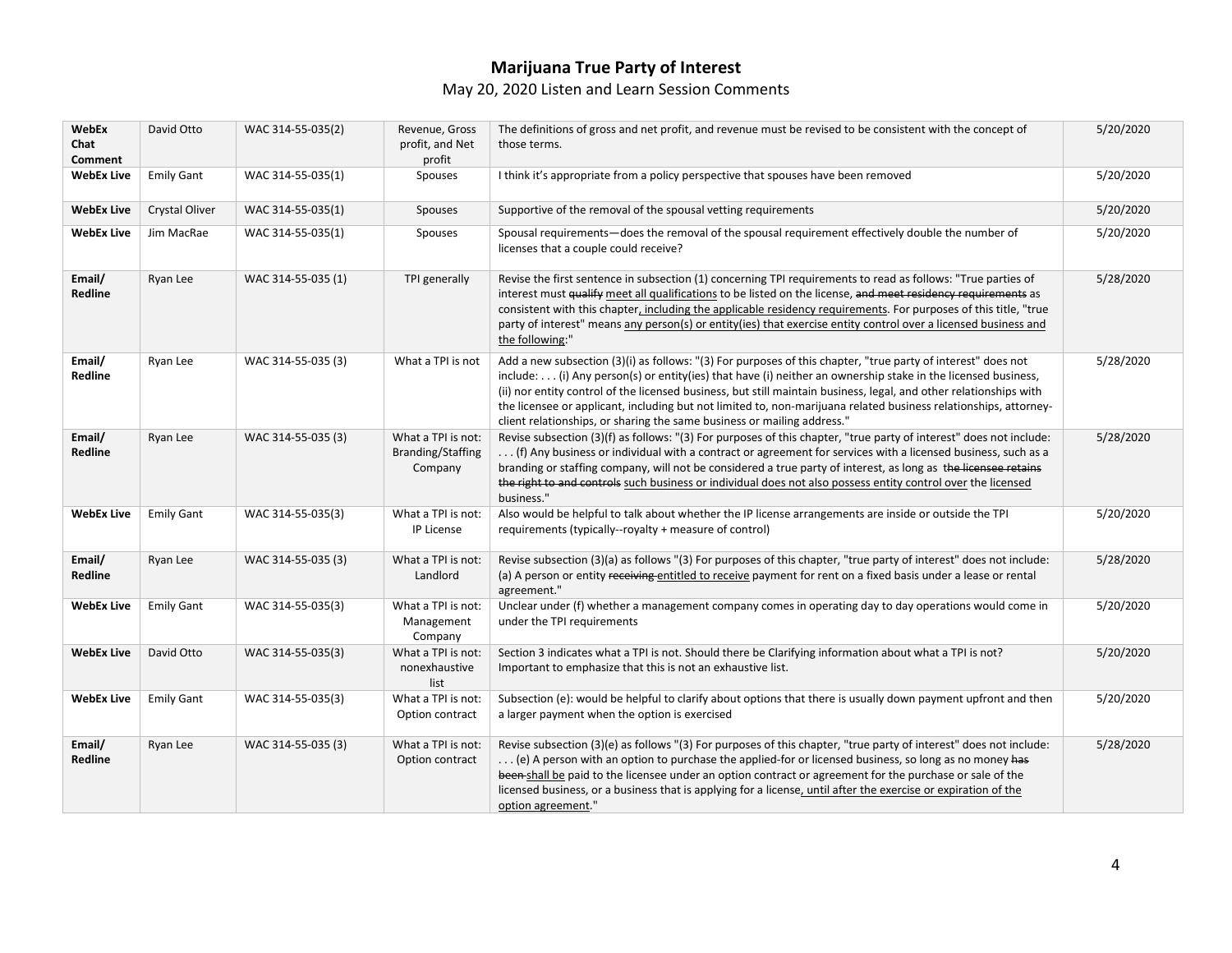### **Marijuana True Party of Interest**  May 20, 2020 Listen and Learn Session Comments

| WebEx<br>Chat<br>Comment | David Otto        | WAC 314-55-035(2)  | Revenue, Gross<br>profit, and Net<br>profit               | The definitions of gross and net profit, and revenue must be revised to be consistent with the concept of<br>those terms.                                                                                                                                                                                                                                                                                                                                                                                                                           | 5/20/2020 |
|--------------------------|-------------------|--------------------|-----------------------------------------------------------|-----------------------------------------------------------------------------------------------------------------------------------------------------------------------------------------------------------------------------------------------------------------------------------------------------------------------------------------------------------------------------------------------------------------------------------------------------------------------------------------------------------------------------------------------------|-----------|
| <b>WebEx Live</b>        | <b>Emily Gant</b> | WAC 314-55-035(1)  | Spouses                                                   | I think it's appropriate from a policy perspective that spouses have been removed                                                                                                                                                                                                                                                                                                                                                                                                                                                                   | 5/20/2020 |
| <b>WebEx Live</b>        | Crystal Oliver    | WAC 314-55-035(1)  | Spouses                                                   | Supportive of the removal of the spousal vetting requirements                                                                                                                                                                                                                                                                                                                                                                                                                                                                                       | 5/20/2020 |
| <b>WebEx Live</b>        | Jim MacRae        | WAC 314-55-035(1)  | Spouses                                                   | Spousal requirements—does the removal of the spousal requirement effectively double the number of<br>licenses that a couple could receive?                                                                                                                                                                                                                                                                                                                                                                                                          | 5/20/2020 |
| Email/<br>Redline        | Ryan Lee          | WAC 314-55-035 (1) | TPI generally                                             | Revise the first sentence in subsection (1) concerning TPI requirements to read as follows: "True parties of<br>interest must qualify meet all qualifications to be listed on the license, and meet residency requirements as<br>consistent with this chapter, including the applicable residency requirements. For purposes of this title, "true<br>party of interest" means any person(s) or entity(ies) that exercise entity control over a licensed business and<br>the following:"                                                             | 5/28/2020 |
| Email/<br>Redline        | Ryan Lee          | WAC 314-55-035 (3) | What a TPI is not                                         | Add a new subsection (3)(i) as follows: "(3) For purposes of this chapter, "true party of interest" does not<br>$include:$ (i) Any person(s) or entity(ies) that have (i) neither an ownership stake in the licensed business,<br>(ii) nor entity control of the licensed business, but still maintain business, legal, and other relationships with<br>the licensee or applicant, including but not limited to, non-marijuana related business relationships, attorney-<br>client relationships, or sharing the same business or mailing address." | 5/28/2020 |
| Email/<br>Redline        | Ryan Lee          | WAC 314-55-035 (3) | What a TPI is not:<br><b>Branding/Staffing</b><br>Company | Revise subsection (3)(f) as follows: "(3) For purposes of this chapter, "true party of interest" does not include:<br>(f) Any business or individual with a contract or agreement for services with a licensed business, such as a<br>branding or staffing company, will not be considered a true party of interest, as long as the licensee retains<br>the right to and controls such business or individual does not also possess entity control over the licensed<br>business."                                                                  | 5/28/2020 |
| <b>WebEx Live</b>        | <b>Emily Gant</b> | WAC 314-55-035(3)  | What a TPI is not:<br>IP License                          | Also would be helpful to talk about whether the IP license arrangements are inside or outside the TPI<br>requirements (typically--royalty + measure of control)                                                                                                                                                                                                                                                                                                                                                                                     | 5/20/2020 |
| Email/<br>Redline        | Ryan Lee          | WAC 314-55-035 (3) | What a TPI is not:<br>Landlord                            | Revise subsection (3)(a) as follows "(3) For purposes of this chapter, "true party of interest" does not include:<br>(a) A person or entity receiving entitled to receive payment for rent on a fixed basis under a lease or rental<br>agreement."                                                                                                                                                                                                                                                                                                  | 5/28/2020 |
| <b>WebEx Live</b>        | <b>Emily Gant</b> | WAC 314-55-035(3)  | What a TPI is not:<br>Management<br>Company               | Unclear under (f) whether a management company comes in operating day to day operations would come in<br>under the TPI requirements                                                                                                                                                                                                                                                                                                                                                                                                                 | 5/20/2020 |
| <b>WebEx Live</b>        | David Otto        | WAC 314-55-035(3)  | What a TPI is not:<br>nonexhaustive<br>list               | Section 3 indicates what a TPI is not. Should there be Clarifying information about what a TPI is not?<br>Important to emphasize that this is not an exhaustive list.                                                                                                                                                                                                                                                                                                                                                                               | 5/20/2020 |
| <b>WebEx Live</b>        | <b>Emily Gant</b> | WAC 314-55-035(3)  | What a TPI is not:<br>Option contract                     | Subsection (e): would be helpful to clarify about options that there is usually down payment upfront and then<br>a larger payment when the option is exercised                                                                                                                                                                                                                                                                                                                                                                                      | 5/20/2020 |
| Email/<br>Redline        | Ryan Lee          | WAC 314-55-035 (3) | What a TPI is not:<br>Option contract                     | Revise subsection (3)(e) as follows "(3) For purposes of this chapter, "true party of interest" does not include:<br>(e) A person with an option to purchase the applied-for or licensed business, so long as no money has<br>been-shall be paid to the licensee under an option contract or agreement for the purchase or sale of the<br>licensed business, or a business that is applying for a license, until after the exercise or expiration of the<br>option agreement."                                                                      | 5/28/2020 |